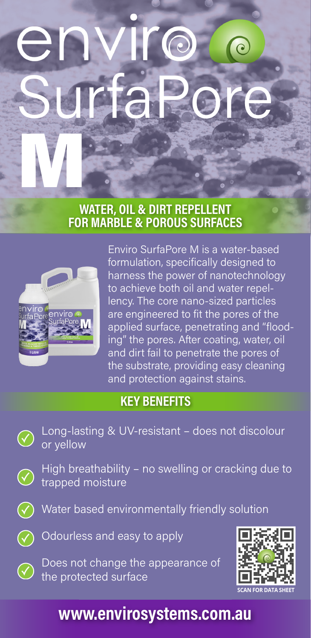# SurfaPore M

### WATER, OIL & DIRT REPELLENT FOR MARBLE & POROUS SURFACES



Enviro SurfaPore M is a water-based formulation, specifically designed to harness the power of nanotechnology to achieve both oil and water repellency. The core nano-sized particles are engineered to fit the pores of the applied surface, penetrating and "flooding" the pores. After coating, water, oil and dirt fail to penetrate the pores of the substrate, providing easy cleaning and protection against stains.

## KEY BENEFITS

Long-lasting & UV-resistant – does not discolour or yellow

High breathability – no swelling or cracking due to trapped moisture



Water based environmentally friendly solution



 $\mathcal G$ 

Odourless and easy to apply

Does not change the appearance of the protected surface



# www.envirosystems.com.au